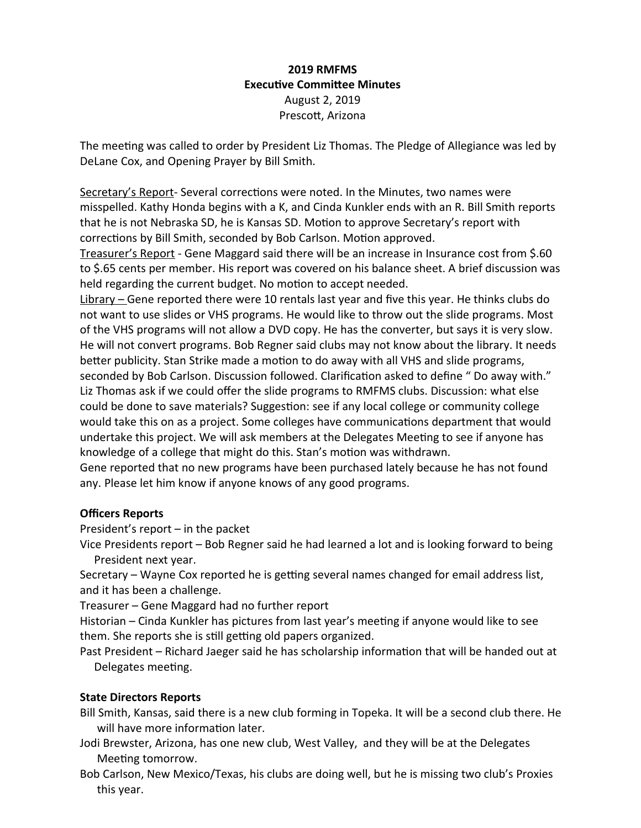## **2019 RMFMS Executive Committee Minutes** August 2, 2019 Prescott, Arizona

The meeting was called to order by President Liz Thomas. The Pledge of Allegiance was led by DeLane Cox, and Opening Prayer by Bill Smith.

Secretary's Report- Several corrections were noted. In the Minutes, two names were misspelled. Kathy Honda begins with a K, and Cinda Kunkler ends with an R. Bill Smith reports that he is not Nebraska SD, he is Kansas SD. Motion to approve Secretary's report with corrections by Bill Smith, seconded by Bob Carlson. Motion approved.

Treasurer's Report - Gene Maggard said there will be an increase in Insurance cost from \$.60 to \$.65 cents per member. His report was covered on his balance sheet. A brief discussion was held regarding the current budget. No motion to accept needed.

Library – Gene reported there were 10 rentals last year and five this year. He thinks clubs do not want to use slides or VHS programs. He would like to throw out the slide programs. Most of the VHS programs will not allow a DVD copy. He has the converter, but says it is very slow. He will not convert programs. Bob Regner said clubs may not know about the library. It needs better publicity. Stan Strike made a motion to do away with all VHS and slide programs, seconded by Bob Carlson. Discussion followed. Clarification asked to define " Do away with." Liz Thomas ask if we could offer the slide programs to RMFMS clubs. Discussion: what else could be done to save materials? Suggestion: see if any local college or community college would take this on as a project. Some colleges have communications department that would undertake this project. We will ask members at the Delegates Meeting to see if anyone has knowledge of a college that might do this. Stan's motion was withdrawn.

Gene reported that no new programs have been purchased lately because he has not found any. Please let him know if anyone knows of any good programs.

### **Officers Reports**

President's report – in the packet

Vice Presidents report – Bob Regner said he had learned a lot and is looking forward to being President next year.

Secretary – Wayne Cox reported he is getting several names changed for email address list, and it has been a challenge.

Treasurer – Gene Maggard had no further report

Historian – Cinda Kunkler has pictures from last year's meeting if anyone would like to see them. She reports she is still getting old papers organized.

Past President – Richard Jaeger said he has scholarship information that will be handed out at Delegates meeting.

### **State Directors Reports**

Bill Smith, Kansas, said there is a new club forming in Topeka. It will be a second club there. He will have more information later.

Jodi Brewster, Arizona, has one new club, West Valley, and they will be at the Delegates Meeting tomorrow.

Bob Carlson, New Mexico/Texas, his clubs are doing well, but he is missing two club's Proxies this year.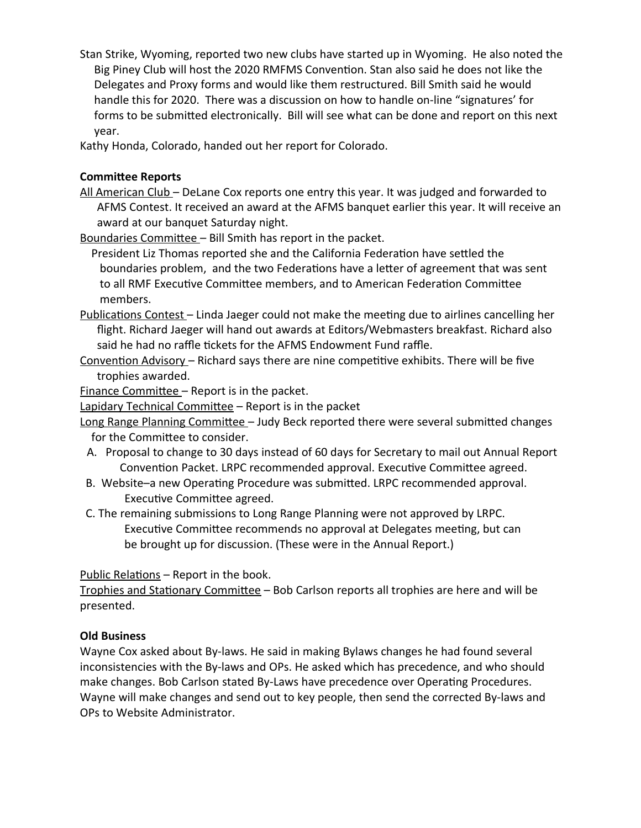Stan Strike, Wyoming, reported two new clubs have started up in Wyoming. He also noted the Big Piney Club will host the 2020 RMFMS Convention. Stan also said he does not like the Delegates and Proxy forms and would like them restructured. Bill Smith said he would handle this for 2020. There was a discussion on how to handle on-line "signatures' for forms to be submitted electronically. Bill will see what can be done and report on this next year.

Kathy Honda, Colorado, handed out her report for Colorado.

## **Committee Reports**

All American Club – DeLane Cox reports one entry this year. It was judged and forwarded to AFMS Contest. It received an award at the AFMS banquet earlier this year. It will receive an award at our banquet Saturday night.

Boundaries Committee – Bill Smith has report in the packet.

 President Liz Thomas reported she and the California Federation have settled the boundaries problem, and the two Federations have a letter of agreement that was sent to all RMF Executive Committee members, and to American Federation Committee members.

- Publications Contest Linda Jaeger could not make the meeting due to airlines cancelling her flight. Richard Jaeger will hand out awards at Editors/Webmasters breakfast. Richard also said he had no raffle tickets for the AFMS Endowment Fund raffle.
- Convention Advisory Richard says there are nine competitive exhibits. There will be five trophies awarded.

Finance Committee – Report is in the packet.

Lapidary Technical Committee – Report is in the packet

- Long Range Planning Committee Judy Beck reported there were several submitted changes for the Committee to consider.
- A. Proposal to change to 30 days instead of 60 days for Secretary to mail out Annual Report Convention Packet. LRPC recommended approval. Executive Committee agreed.
- B. Website–a new Operating Procedure was submitted. LRPC recommended approval. Executive Committee agreed.
- C. The remaining submissions to Long Range Planning were not approved by LRPC. Executive Committee recommends no approval at Delegates meeting, but can be brought up for discussion. (These were in the Annual Report.)

Public Relations – Report in the book.

Trophies and Stationary Committee – Bob Carlson reports all trophies are here and will be presented.

# **Old Business**

Wayne Cox asked about By-laws. He said in making Bylaws changes he had found several inconsistencies with the By-laws and OPs. He asked which has precedence, and who should make changes. Bob Carlson stated By-Laws have precedence over Operating Procedures. Wayne will make changes and send out to key people, then send the corrected By-laws and OPs to Website Administrator.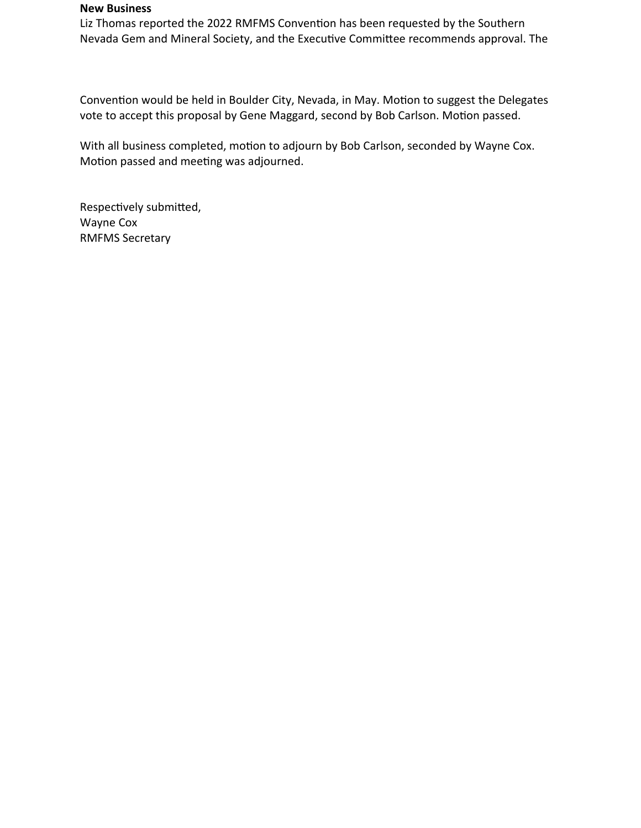#### **New Business**

Liz Thomas reported the 2022 RMFMS Convention has been requested by the Southern Nevada Gem and Mineral Society, and the Executive Committee recommends approval. The

Convention would be held in Boulder City, Nevada, in May. Motion to suggest the Delegates vote to accept this proposal by Gene Maggard, second by Bob Carlson. Motion passed.

With all business completed, motion to adjourn by Bob Carlson, seconded by Wayne Cox. Motion passed and meeting was adjourned.

Respectively submitted, Wayne Cox RMFMS Secretary